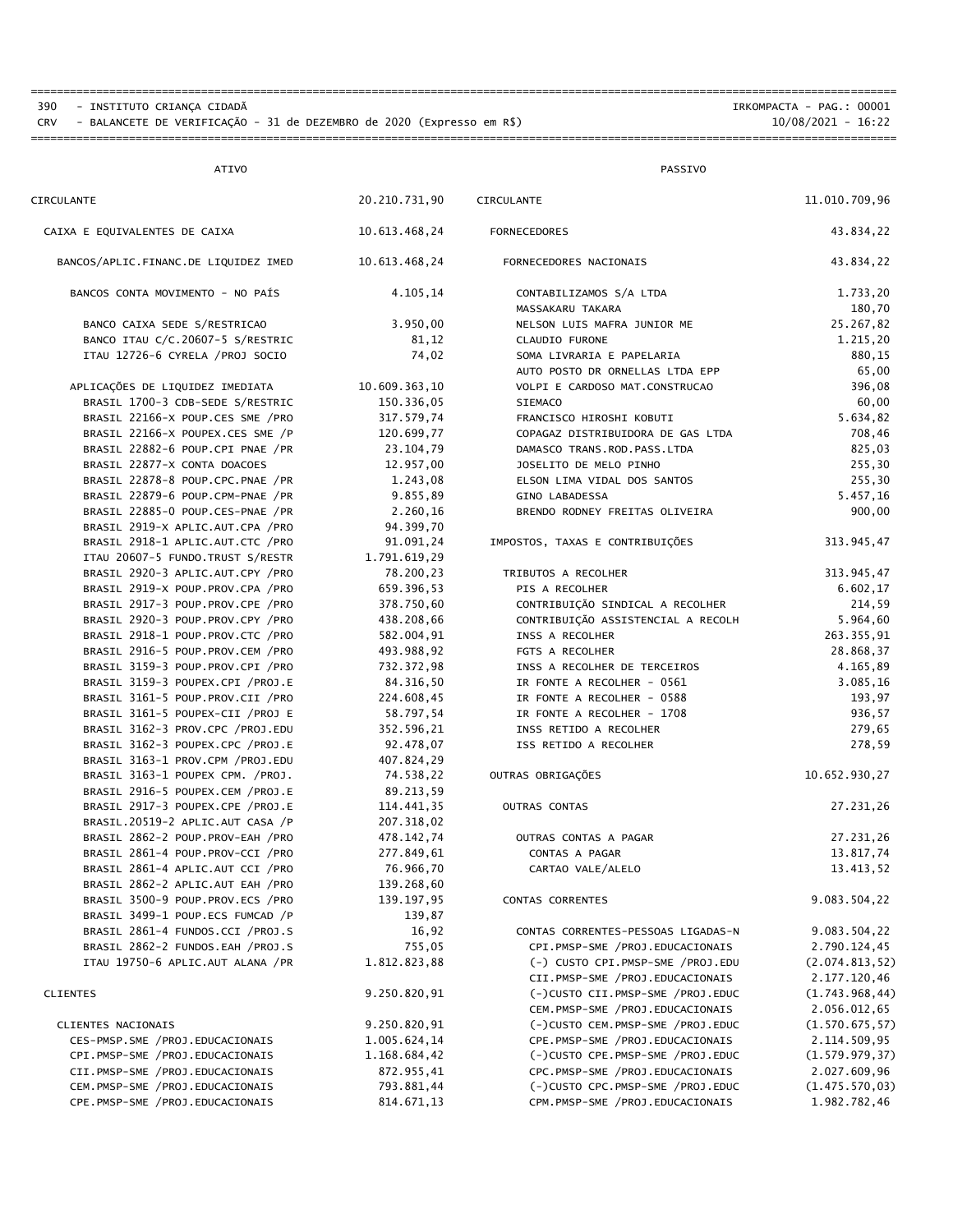390 - INSTITUTO CRIANÇA CIDADÃ<br>2390 - IRKOMPACTA - PAG.: 00001<br>2321 - IO/08/2021 - ISALANCETE DE VERIFICAÇÃO - 31 de DEZEMBRO de 2020 (Expresso em R\$) CRV - BALANCETE DE VERIFICAÇÃO - 31 de DEZEMBRO de 2020 (Expresso em R\$)

====================================================================================================================================

====================================================================================================================================

| <b>ATIVO</b>                                                         |                          | PASSIVO                                       |                       |  |
|----------------------------------------------------------------------|--------------------------|-----------------------------------------------|-----------------------|--|
| CIRCULANTE                                                           | 20.210.731,90            | CIRCULANTE                                    | 11.010.709,96         |  |
| CAIXA E EQUIVALENTES DE CAIXA                                        | 10.613.468,24            | <b>FORNECEDORES</b>                           | 43.834,22             |  |
| BANCOS/APLIC.FINANC.DE LIQUIDEZ IMED                                 | 10.613.468,24            | FORNECEDORES NACIONAIS                        | 43.834,22             |  |
| BANCOS CONTA MOVIMENTO - NO PAÍS                                     | 4.105,14                 | CONTABILIZAMOS S/A LTDA                       | 1.733,20              |  |
|                                                                      |                          | MASSAKARU TAKARA                              | 180,70                |  |
| BANCO CAIXA SEDE S/RESTRICAO                                         | 3.950,00                 | NELSON LUIS MAFRA JUNIOR ME<br>CLAUDIO FURONE | 25.267,82<br>1.215,20 |  |
| BANCO ITAU C/C.20607-5 S/RESTRIC<br>ITAU 12726-6 CYRELA / PROJ SOCIO | 81,12<br>74,02           | SOMA LIVRARIA E PAPELARIA                     | 880,15                |  |
|                                                                      |                          | AUTO POSTO DR ORNELLAS LTDA EPP               | 65,00                 |  |
| APLICAÇÕES DE LIQUIDEZ IMEDIATA                                      | 10.609.363,10            | VOLPI E CARDOSO MAT.CONSTRUCAO                | 396,08                |  |
| BRASIL 1700-3 CDB-SEDE S/RESTRIC                                     | 150.336,05               | <b>SIEMACO</b>                                | 60,00                 |  |
| BRASIL 22166-X POUP.CES SME / PRO                                    | 317.579,74               | FRANCISCO HIROSHI KOBUTI                      | 5.634,82              |  |
| BRASIL 22166-X POUPEX.CES SME /P                                     | 120.699,77               | COPAGAZ DISTRIBUIDORA DE GAS LTDA             | 708,46                |  |
| BRASIL 22882-6 POUP.CPI PNAE /PR                                     | 23.104,79                | DAMASCO TRANS.ROD.PASS.LTDA                   | 825,03                |  |
| BRASIL 22877-X CONTA DOACOES                                         | 12.957,00                | JOSELITO DE MELO PINHO                        | 255,30                |  |
| BRASIL 22878-8 POUP.CPC.PNAE /PR                                     | 1.243,08                 | ELSON LIMA VIDAL DOS SANTOS                   | 255,30                |  |
| BRASIL 22879-6 POUP.CPM-PNAE /PR                                     | 9.855,89                 | GINO LABADESSA                                | 5.457,16              |  |
| BRASIL 22885-0 POUP.CES-PNAE /PR                                     | 2.260,16                 | BRENDO RODNEY FREITAS OLIVEIRA                | 900,00                |  |
| BRASIL 2919-X APLIC.AUT.CPA / PRO                                    | 94.399,70                |                                               |                       |  |
| BRASIL 2918-1 APLIC.AUT.CTC / PRO                                    | 91.091,24                | IMPOSTOS, TAXAS E CONTRIBUIÇÕES               | 313.945,47            |  |
| ITAU 20607-5 FUNDO.TRUST S/RESTR                                     | 1.791.619,29             |                                               |                       |  |
| BRASIL 2920-3 APLIC.AUT.CPY / PRO                                    | 78.200,23                | TRIBUTOS A RECOLHER                           | 313.945,47            |  |
| BRASIL 2919-X POUP.PROV.CPA /PRO                                     | 659.396,53               | PIS A RECOLHER                                | 6.602,17              |  |
| BRASIL 2917-3 POUP.PROV.CPE /PRO                                     | 378.750,60               | CONTRIBUIÇÃO SINDICAL A RECOLHER              | 214,59                |  |
| BRASIL 2920-3 POUP.PROV.CPY /PRO                                     | 438.208,66               | CONTRIBUIÇÃO ASSISTENCIAL A RECOLH            | 5.964,60              |  |
| BRASIL 2918-1 POUP.PROV.CTC /PRO                                     | 582.004,91               | INSS A RECOLHER                               | 263.355,91            |  |
| BRASIL 2916-5 POUP.PROV.CEM /PRO                                     | 493.988,92               | FGTS A RECOLHER                               | 28.868,37             |  |
| BRASIL 3159-3 POUP.PROV.CPI /PRO                                     | 732.372,98               | INSS A RECOLHER DE TERCEIROS                  | 4.165,89              |  |
| BRASIL 3159-3 POUPEX.CPI / PROJ.E                                    | 84.316,50                | IR FONTE A RECOLHER - 0561                    | 3.085,16              |  |
| BRASIL 3161-5 POUP.PROV.CII /PRO                                     | 224.608,45               | IR FONTE A RECOLHER - 0588                    | 193,97                |  |
| BRASIL 3161-5 POUPEX-CII / PROJ E                                    | 58.797,54                | IR FONTE A RECOLHER - 1708                    | 936,57                |  |
| BRASIL 3162-3 PROV.CPC /PROJ.EDU                                     | 352.596,21               | INSS RETIDO A RECOLHER                        | 279,65                |  |
| BRASIL 3162-3 POUPEX.CPC / PROJ.E                                    | 92.478,07                | ISS RETIDO A RECOLHER                         | 278,59                |  |
| BRASIL 3163-1 PROV.CPM / PROJ.EDU                                    | 407.824,29               |                                               |                       |  |
| BRASIL 3163-1 POUPEX CPM. /PROJ.                                     | 74.538,22                | OUTRAS OBRIGAÇÕES                             | 10.652.930,27         |  |
| BRASIL 2916-5 POUPEX.CEM / PROJ.E                                    | 89.213,59                |                                               | 27.231,26             |  |
| BRASIL 2917-3 POUPEX.CPE /PROJ.E<br>BRASIL.20519-2 APLIC.AUT CASA /P | 114.441,35<br>207.318,02 | OUTRAS CONTAS                                 |                       |  |
| BRASIL 2862-2 POUP.PROV-EAH /PRO                                     | 478.142,74               | OUTRAS CONTAS A PAGAR                         | 27.231,26             |  |
| BRASIL 2861-4 POUP.PROV-CCI /PRO                                     | 277.849,61               | CONTAS A PAGAR                                | 13.817,74             |  |
| BRASIL 2861-4 APLIC.AUT CCI / PRO                                    | 76.966,70                | CARTAO VALE/ALELO                             | 13.413,52             |  |
| BRASIL 2862-2 APLIC.AUT EAH / PRO                                    | 139.268,60               |                                               |                       |  |
| BRASIL 3500-9 POUP.PROV.ECS /PRO                                     | 139.197,95               | CONTAS CORRENTES                              | 9.083.504,22          |  |
| BRASIL 3499-1 POUP.ECS FUMCAD /P                                     | 139,87                   |                                               |                       |  |
| BRASIL 2861-4 FUNDOS.CCI / PROJ.S                                    | 16,92                    | CONTAS CORRENTES-PESSOAS LIGADAS-N            | 9.083.504,22          |  |
| BRASIL 2862-2 FUNDOS.EAH / PROJ.S                                    | 755,05                   | CPI.PMSP-SME /PROJ.EDUCACIONAIS               | 2.790.124,45          |  |
| ITAU 19750-6 APLIC.AUT ALANA / PR                                    | 1.812.823,88             | (-) CUSTO CPI.PMSP-SME /PROJ.EDU              | (2.074.813, 52)       |  |
|                                                                      |                          | CII.PMSP-SME /PROJ.EDUCACIONAIS               | 2.177.120,46          |  |
| <b>CLIENTES</b>                                                      | 9.250.820,91             | (-)CUSTO CII.PMSP-SME /PROJ.EDUC              | (1.743.968, 44)       |  |
|                                                                      |                          | CEM.PMSP-SME /PROJ.EDUCACIONAIS               | 2.056.012,65          |  |
| CLIENTES NACIONAIS                                                   | 9.250.820,91             | (-)CUSTO CEM.PMSP-SME /PROJ.EDUC              | (1.570.675, 57)       |  |
| CES-PMSP.SME / PROJ.EDUCACIONAIS                                     | 1.005.624,14             | CPE.PMSP-SME /PROJ.EDUCACIONAIS               | 2.114.509,95          |  |
| CPI.PMSP-SME /PROJ.EDUCACIONAIS                                      | 1.168.684,42             | (-)CUSTO CPE.PMSP-SME /PROJ.EDUC              | (1.579.979, 37)       |  |
| CII.PMSP-SME /PROJ.EDUCACIONAIS                                      | 872.955,41               | CPC.PMSP-SME /PROJ.EDUCACIONAIS               | 2.027.609,96          |  |
| CEM.PMSP-SME /PROJ.EDUCACIONAIS                                      | 793.881,44               | (-)CUSTO CPC.PMSP-SME /PROJ.EDUC              | (1.475.570, 03)       |  |
| CPE.PMSP-SME /PROJ.EDUCACIONAIS                                      | 814.671,13               | CPM.PMSP-SME /PROJ.EDUCACIONAIS               | 1.982.782,46          |  |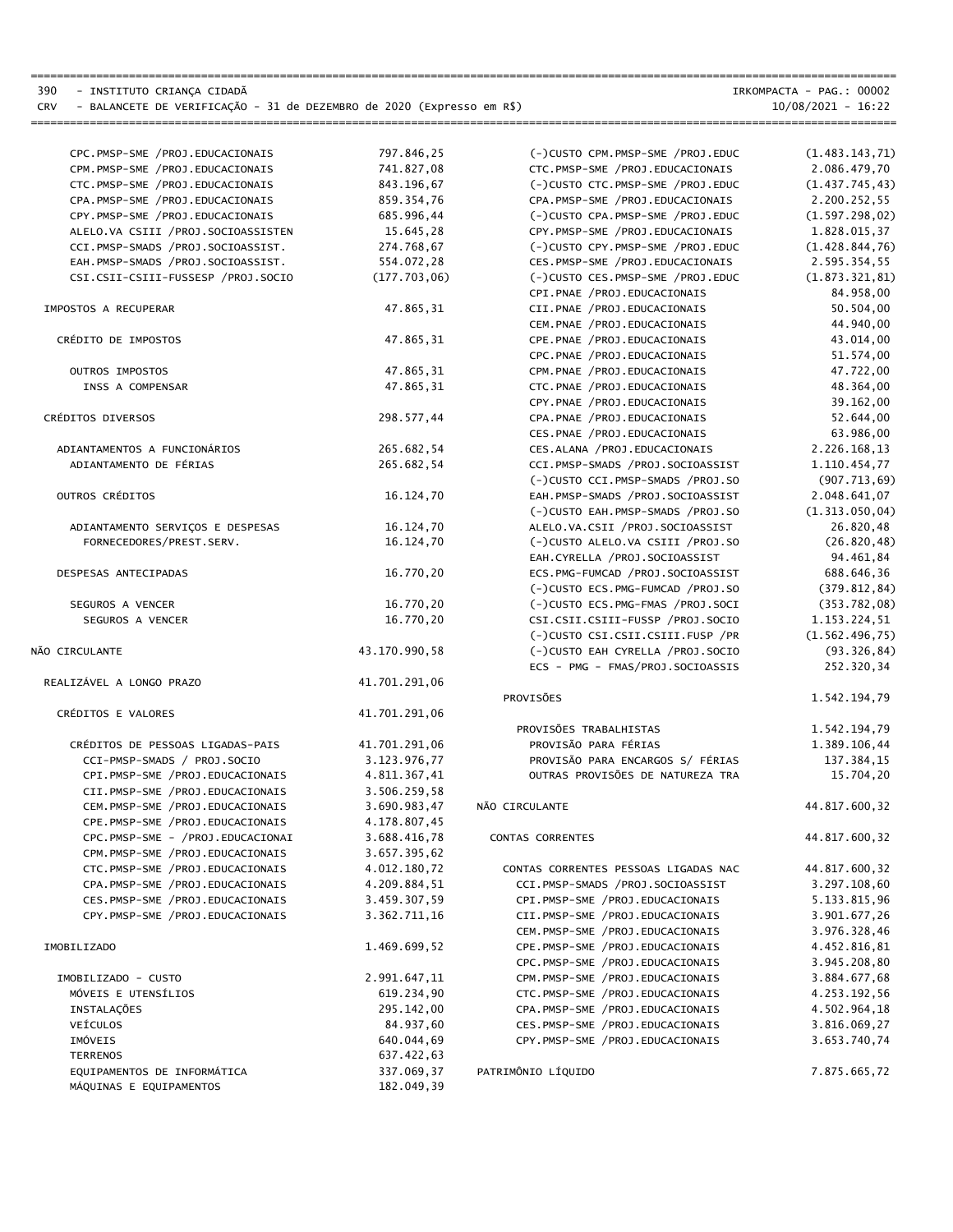CRV - BALANCETE DE VERIFICAÇÃO - 31 de DEZEMBRO de 2020 (Expresso em R\$)

390 - INSTITUTO CRIANÇA CIDADÃ IRKOMPACTA - PAG.: 00002

| 10/08/2021 | 16:22 |
|------------|-------|
|------------|-------|

| CPC.PMSP-SME /PROJ.EDUCACIONAIS      | 797.846,25    | (-)CUSTO CPM.PMSP-SME /PROJ.EDUC     | (1.483.143, 71) |
|--------------------------------------|---------------|--------------------------------------|-----------------|
| CPM.PMSP-SME /PROJ.EDUCACIONAIS      | 741.827,08    | CTC.PMSP-SME /PROJ.EDUCACIONAIS      | 2.086.479,70    |
| CTC.PMSP-SME /PROJ.EDUCACIONAIS      | 843.196,67    | (-)CUSTO CTC.PMSP-SME /PROJ.EDUC     | (1.437.745, 43) |
| CPA.PMSP-SME /PROJ.EDUCACIONAIS      | 859.354,76    | CPA.PMSP-SME /PROJ.EDUCACIONAIS      | 2.200.252,55    |
| CPY.PMSP-SME /PROJ.EDUCACIONAIS      | 685.996,44    | (-)CUSTO CPA.PMSP-SME /PROJ.EDUC     | (1.597.298, 02) |
| ALELO.VA CSIII / PROJ. SOCIOASSISTEN | 15.645,28     | CPY.PMSP-SME /PROJ.EDUCACIONAIS      | 1.828.015,37    |
| CCI.PMSP-SMADS /PROJ.SOCIOASSIST.    | 274.768,67    | (-)CUSTO CPY.PMSP-SME /PROJ.EDUC     | (1.428.844, 76) |
| EAH. PMSP-SMADS / PROJ. SOCIOASSIST. | 554.072,28    | CES.PMSP-SME /PROJ.EDUCACIONAIS      | 2.595.354,55    |
| CSI.CSII-CSIII-FUSSESP /PROJ.SOCIO   | (177.703,06)  | (-)CUSTO CES.PMSP-SME /PROJ.EDUC     | (1.873.321, 81) |
|                                      |               | CPI.PNAE /PROJ.EDUCACIONAIS          | 84.958,00       |
| IMPOSTOS A RECUPERAR                 | 47.865,31     | CII.PNAE /PROJ.EDUCACIONAIS          | 50.504,00       |
|                                      |               | CEM.PNAE /PROJ.EDUCACIONAIS          | 44.940,00       |
| CRÉDITO DE IMPOSTOS                  | 47.865.31     | CPE.PNAE /PROJ.EDUCACIONAIS          | 43.014,00       |
|                                      |               | CPC.PNAE /PROJ.EDUCACIONAIS          | 51.574,00       |
| OUTROS IMPOSTOS                      | 47.865,31     | CPM.PNAE /PROJ.EDUCACIONAIS          | 47.722,00       |
| INSS A COMPENSAR                     | 47.865,31     | CTC.PNAE /PROJ.EDUCACIONAIS          | 48.364,00       |
|                                      |               | CPY.PNAE /PROJ.EDUCACIONAIS          | 39.162,00       |
| CRÉDITOS DIVERSOS                    | 298.577,44    | CPA.PNAE /PROJ.EDUCACIONAIS          | 52.644,00       |
|                                      |               | CES.PNAE /PROJ.EDUCACIONAIS          | 63.986,00       |
| ADIANTAMENTOS A FUNCIONÁRIOS         | 265.682,54    | CES.ALANA / PROJ.EDUCACIONAIS        | 2.226.168,13    |
| ADIANTAMENTO DE FÉRIAS               | 265.682,54    | CCI.PMSP-SMADS /PROJ.SOCIOASSIST     | 1.110.454,77    |
|                                      |               | (-)CUSTO CCI.PMSP-SMADS /PROJ.SO     | (907.713, 69)   |
| OUTROS CRÉDITOS                      | 16.124,70     | EAH. PMSP-SMADS / PROJ. SOCIOASSIST  | 2.048.641,07    |
|                                      |               | (-)CUSTO EAH. PMSP-SMADS / PROJ. SO  | (1.313.050, 04) |
| ADIANTAMENTO SERVIÇOS E DESPESAS     | 16.124,70     | ALELO.VA.CSII /PROJ.SOCIOASSIST      | 26.820,48       |
| FORNECEDORES/PREST.SERV.             | 16.124,70     | (-)CUSTO ALELO.VA CSIII /PROJ.SO     | (26.820, 48)    |
|                                      |               | EAH.CYRELLA /PROJ.SOCIOASSIST        | 94.461,84       |
| DESPESAS ANTECIPADAS                 | 16.770,20     | ECS.PMG-FUMCAD /PROJ.SOCIOASSIST     | 688.646,36      |
|                                      |               | (-)CUSTO ECS.PMG-FUMCAD /PROJ.SO     | (379.812, 84)   |
| SEGUROS A VENCER                     | 16.770,20     | (-)CUSTO ECS.PMG-FMAS /PROJ.SOCI     | (353.782,08)    |
| SEGUROS A VENCER                     | 16.770,20     | CSI.CSII.CSIII-FUSSP /PROJ.SOCIO     | 1.153.224,51    |
|                                      |               | (-)CUSTO CSI.CSII.CSIII.FUSP / PR    | (1.562.496, 75) |
| NÃO CIRCULANTE                       | 43.170.990,58 | (-)CUSTO EAH CYRELLA /PROJ.SOCIO     | (93.326, 84)    |
|                                      |               | ECS - PMG - FMAS/PROJ.SOCIOASSIS     | 252.320,34      |
| REALIZÁVEL A LONGO PRAZO             | 41.701.291,06 |                                      |                 |
|                                      |               | PROVISÕES                            | 1.542.194,79    |
| CRÉDITOS E VALORES                   | 41.701.291,06 |                                      |                 |
|                                      |               | PROVISÕES TRABALHISTAS               | 1.542.194,79    |
| CRÉDITOS DE PESSOAS LIGADAS-PAIS     | 41.701.291,06 | PROVISÃO PARA FÉRIAS                 | 1.389.106,44    |
| CCI-PMSP-SMADS / PROJ.SOCIO          | 3.123.976,77  | PROVISÃO PARA ENCARGOS S/ FÉRIAS     | 137.384,15      |
| CPI.PMSP-SME /PROJ.EDUCACIONAIS      | 4.811.367,41  | OUTRAS PROVISÕES DE NATUREZA TRA     | 15.704,20       |
| CII.PMSP-SME /PROJ.EDUCACIONAIS      | 3.506.259,58  |                                      |                 |
| CEM.PMSP-SME /PROJ.EDUCACIONAIS      | 3.690.983,47  | NÃO CIRCULANTE                       | 44.817.600,32   |
| CPE.PMSP-SME /PROJ.EDUCACIONAIS      | 4.178.807,45  |                                      |                 |
| CPC.PMSP-SME - /PROJ.EDUCACIONAI     | 3.688.416,78  | CONTAS CORRENTES                     | 44.817.600,32   |
| CPM.PMSP-SME /PROJ.EDUCACIONAIS      | 3.657.395,62  |                                      |                 |
| CTC.PMSP-SME /PROJ.EDUCACIONAIS      | 4.012.180,72  | CONTAS CORRENTES PESSOAS LIGADAS NAC | 44.817.600,32   |
| CPA.PMSP-SME /PROJ.EDUCACIONAIS      | 4.209.884,51  | CCI.PMSP-SMADS /PROJ.SOCIOASSIST     | 3.297.108,60    |
| CES.PMSP-SME /PROJ.EDUCACIONAIS      | 3.459.307,59  | CPI.PMSP-SME /PROJ.EDUCACIONAIS      | 5.133.815,96    |
| CPY.PMSP-SME /PROJ.EDUCACIONAIS      | 3.362.711,16  | CII.PMSP-SME /PROJ.EDUCACIONAIS      | 3.901.677,26    |
|                                      |               | CEM.PMSP-SME /PROJ.EDUCACIONAIS      | 3.976.328,46    |
| IMOBILIZADO                          | 1.469.699,52  | CPE.PMSP-SME /PROJ.EDUCACIONAIS      | 4.452.816,81    |
|                                      |               | CPC.PMSP-SME /PROJ.EDUCACIONAIS      |                 |
|                                      |               | CPM.PMSP-SME /PROJ.EDUCACIONAIS      | 3.945.208,80    |
| IMOBILIZADO - CUSTO                  | 2.991.647,11  | CTC.PMSP-SME /PROJ.EDUCACIONAIS      | 3.884.677,68    |
| MÓVEIS E UTENSÍLIOS                  | 619.234,90    | CPA.PMSP-SME /PROJ.EDUCACIONAIS      | 4.253.192,56    |
| INSTALAÇÕES                          | 295.142,00    |                                      | 4.502.964,18    |
| VEÍCULOS                             | 84.937,60     | CES.PMSP-SME /PROJ.EDUCACIONAIS      | 3.816.069,27    |
| IMÓVEIS                              | 640.044,69    | CPY.PMSP-SME /PROJ.EDUCACIONAIS      | 3.653.740,74    |
| <b>TERRENOS</b>                      | 637.422,63    |                                      |                 |
| EQUIPAMENTOS DE INFORMÁTICA          | 337.069,37    | PATRIMÔNIO LÍQUIDO                   | 7.875.665,72    |
| MÁQUINAS E EQUIPAMENTOS              | 182.049,39    |                                      |                 |

====================================================================================================================================

====================================================================================================================================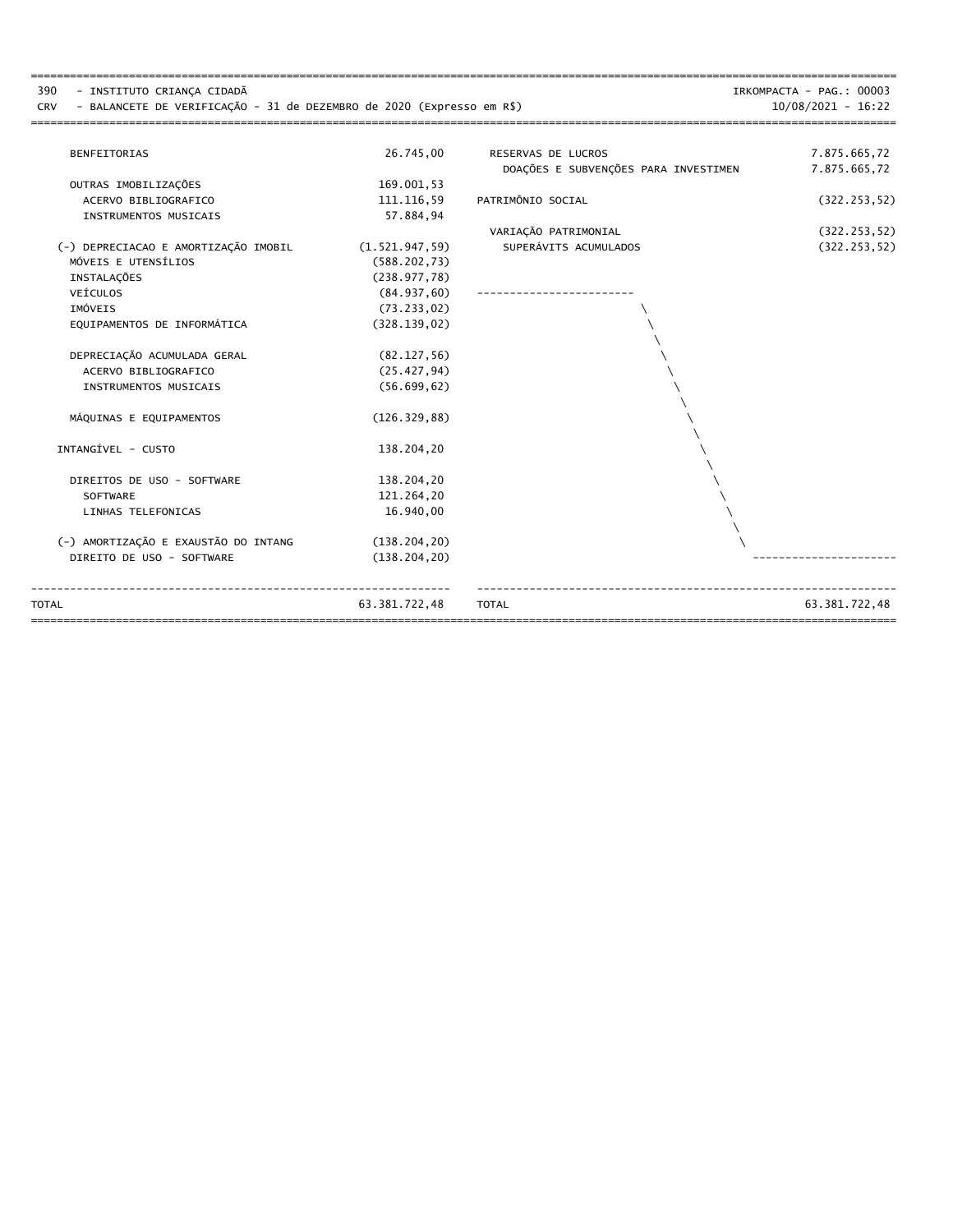| 390<br>- INSTITUTO CRIANCA CIDADÃ<br>- BALANCETE DE VERIFICAÇÃO - 31 de DEZEMBRO de 2020 (Expresso em R\$)<br><b>CRV</b> |                 |                                      | IRKOMPACTA - PAG.: 00003<br>$10/08/2021 - 16:22$ |
|--------------------------------------------------------------------------------------------------------------------------|-----------------|--------------------------------------|--------------------------------------------------|
| <b>BENFEITORIAS</b>                                                                                                      | 26.745,00       | RESERVAS DE LUCROS                   | 7.875.665,72                                     |
|                                                                                                                          |                 | DOAÇÕES E SUBVENÇÕES PARA INVESTIMEN | 7.875.665,72                                     |
| OUTRAS IMOBILIZAÇÕES                                                                                                     | 169.001.53      |                                      |                                                  |
| ACERVO BIBLIOGRAFICO                                                                                                     | 111.116,59      | PATRIMÔNIO SOCIAL                    | (322.253, 52)                                    |
| INSTRUMENTOS MUSICAIS                                                                                                    | 57.884.94       |                                      |                                                  |
|                                                                                                                          |                 | VARIAÇÃO PATRIMONIAL                 | (322.253, 52)                                    |
| (-) DEPRECIACAO E AMORTIZAÇÃO IMOBIL                                                                                     | (1.521.947, 59) | SUPERÁVITS ACUMULADOS                | (322.253, 52)                                    |
| MÓVEIS E UTENSÍLIOS                                                                                                      | (588.202, 73)   |                                      |                                                  |
| INSTALAÇÕES                                                                                                              | (238.977,78)    |                                      |                                                  |
| VEÍCULOS                                                                                                                 | (84.937, 60)    |                                      |                                                  |
| IMÓVEIS                                                                                                                  | (73.233, 02)    |                                      |                                                  |
| EOUIPAMENTOS DE INFORMÁTICA                                                                                              | (328.139, 02)   |                                      |                                                  |
| DEPRECIAÇÃO ACUMULADA GERAL                                                                                              | (82.127, 56)    |                                      |                                                  |
| ACERVO BIBLIOGRAFICO                                                                                                     | (25.427, 94)    |                                      |                                                  |
| INSTRUMENTOS MUSICAIS                                                                                                    | (56.699, 62)    |                                      |                                                  |
| MÁQUINAS E EQUIPAMENTOS                                                                                                  | (126.329, 88)   |                                      |                                                  |
| INTANGÍVEL - CUSTO                                                                                                       | 138.204,20      |                                      |                                                  |
| DIREITOS DE USO - SOFTWARE                                                                                               | 138.204,20      |                                      |                                                  |
| <b>SOFTWARE</b>                                                                                                          | 121.264,20      |                                      |                                                  |
| LINHAS TELEFONICAS                                                                                                       | 16.940,00       |                                      |                                                  |
| (-) AMORTIZAÇÃO E EXAUSTÃO DO INTANG                                                                                     |                 |                                      |                                                  |
|                                                                                                                          | (138.204, 20)   |                                      |                                                  |
| DIREITO DE USO - SOFTWARE                                                                                                | (138.204, 20)   |                                      |                                                  |
| <b>TOTAL</b>                                                                                                             | 63.381.722,48   | <b>TOTAL</b>                         | 63.381.722,48                                    |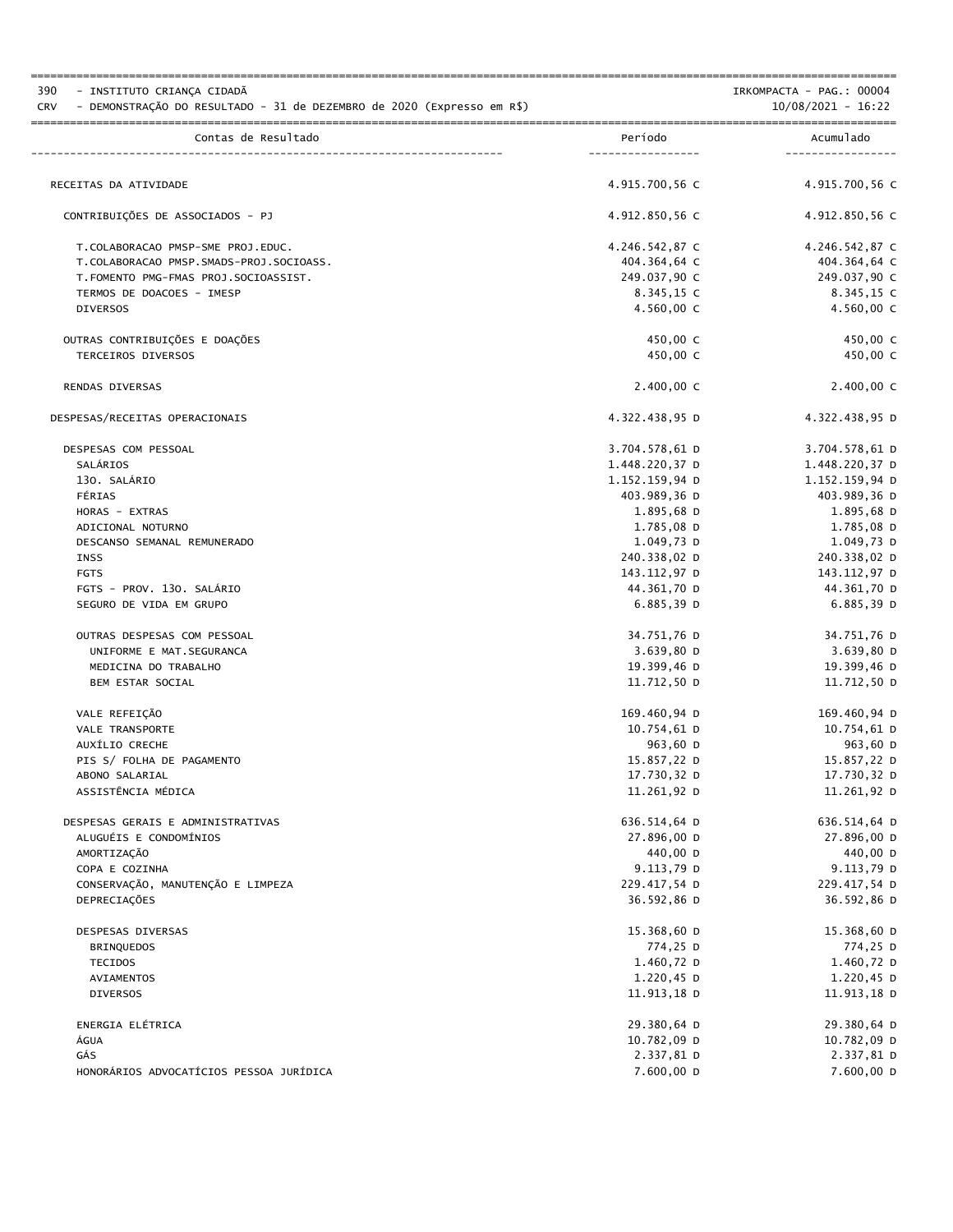| 390<br>- INSTITUTO CRIANÇA CIDADÃ<br>- DEMONSTRAÇÃO DO RESULTADO - 31 de DEZEMBRO de 2020 (Expresso em R\$)<br><b>CRV</b> |                              | IRKOMPACTA - PAG.: 00004<br>$10/08/2021 - 16:22$ |
|---------------------------------------------------------------------------------------------------------------------------|------------------------------|--------------------------------------------------|
| Contas de Resultado                                                                                                       | Período<br>----------------- | Acumulado<br>----------                          |
| RECEITAS DA ATIVIDADE                                                                                                     | 4.915.700.56 C               | 4.915.700,56 C                                   |
|                                                                                                                           |                              |                                                  |
| CONTRIBUIÇÕES DE ASSOCIADOS - PJ                                                                                          | 4.912.850,56 C               | 4.912.850,56 C                                   |
| T.COLABORACAO PMSP-SME PROJ.EDUC.                                                                                         | 4.246.542,87 C               | 4.246.542,87 C                                   |
| T.COLABORACAO PMSP.SMADS-PROJ.SOCIOASS.                                                                                   | 404.364,64 C                 | 404.364,64 C                                     |
| T. FOMENTO PMG-FMAS PROJ. SOCIOASSIST.                                                                                    | 249.037,90 C                 | 249.037,90 C                                     |
| TERMOS DE DOACOES - IMESP                                                                                                 | 8.345,15 C                   | 8.345,15 C                                       |
| <b>DIVERSOS</b>                                                                                                           | $4.560,00 \, \text{C}$       | 4.560,00 C                                       |
| OUTRAS CONTRIBUIÇÕES E DOAÇÕES                                                                                            | 450,00 C                     | 450,00 C                                         |
| TERCEIROS DIVERSOS                                                                                                        | 450,00 C                     | 450,00 C                                         |
| RENDAS DIVERSAS                                                                                                           | 2.400,00 C                   | $2.400,00$ C                                     |
| DESPESAS/RECEITAS OPERACIONAIS                                                                                            | 4.322.438,95 D               | 4.322.438,95 D                                   |
| DESPESAS COM PESSOAL                                                                                                      | 3.704.578,61 D               | 3.704.578,61 D                                   |
| SALÁRIOS                                                                                                                  | 1.448.220,37 D               | 1.448.220,37 D                                   |
| 130. SALÁRIO                                                                                                              | 1.152.159,94 D               | 1.152.159,94 D                                   |
| FÉRIAS                                                                                                                    | 403.989,36 D                 | 403.989,36 D                                     |
| HORAS - EXTRAS                                                                                                            | 1.895,68 D                   | 1.895,68 D                                       |
| ADICIONAL NOTURNO                                                                                                         | 1.785,08 D                   | 1.785,08 D                                       |
| DESCANSO SEMANAL REMUNERADO                                                                                               | 1.049,73 D                   | 1.049,73 D                                       |
| INSS                                                                                                                      | 240.338,02 D                 | 240.338,02 D                                     |
| <b>FGTS</b>                                                                                                               | 143.112,97 D                 | ם 97, 112, 143                                   |
| FGTS - PROV. 130. SALÁRIO                                                                                                 | 44.361,70 D                  | 44.361,70 D                                      |
| SEGURO DE VIDA EM GRUPO                                                                                                   | 6.885,39D                    | $6.885,39$ D                                     |
| OUTRAS DESPESAS COM PESSOAL                                                                                               | 34.751,76 D                  | 34.751,76 D                                      |
| UNIFORME E MAT. SEGURANCA                                                                                                 | 3.639,80 D                   | 3.639,80 D                                       |
| MEDICINA DO TRABALHO                                                                                                      | 19.399,46 D                  | 19.399,46 D                                      |
| BEM ESTAR SOCIAL                                                                                                          | 11.712,50 D                  | 11.712,50 D                                      |
| VALE REFEIÇÃO                                                                                                             | 169.460,94 D                 | 169.460,94 D                                     |
| VALE TRANSPORTE                                                                                                           | 10.754,61 D                  | 10.754,61 D                                      |
| AUXILIO CRECHE                                                                                                            | 963,60 D                     | 963,60 D                                         |
| PIS S/ FOLHA DE PAGAMENTO                                                                                                 | 15.857,22 D                  | 15.857,22 D                                      |
| ABONO SALARIAL                                                                                                            | 17.730,32 D                  | 17.730,32 D                                      |
| ASSISTÊNCIA MÉDICA                                                                                                        | 11.261,92 D                  | 11.261,92 D                                      |
| DESPESAS GERAIS E ADMINISTRATIVAS                                                                                         | 636.514,64 D                 | 636.514,64 D                                     |
| ALUGUÉIS E CONDOMÍNIOS                                                                                                    | 27.896,00 D                  | 27.896,00 D                                      |
| AMORTIZAÇÃO                                                                                                               | 440,00 D                     | 440,00 D                                         |
| COPA E COZINHA                                                                                                            | 9.113,79 D                   | 9.113,79 D                                       |
| CONSERVAÇÃO, MANUTENÇÃO E LIMPEZA                                                                                         | 229.417,54 D                 | 229.417,54 D                                     |
| DEPRECIAÇÕES                                                                                                              | 36.592,86 D                  | 36.592,86 D                                      |
| DESPESAS DIVERSAS                                                                                                         | 15.368,60 D                  | 15.368,60 D                                      |
| <b>BRINQUEDOS</b>                                                                                                         | 774,25 D                     | 774,25 D                                         |
| <b>TECIDOS</b>                                                                                                            | 1.460,72 D                   | 1.460,72 D                                       |
| AVIAMENTOS                                                                                                                | $1.220,45$ D                 | $1.220,45$ D                                     |
| <b>DIVERSOS</b>                                                                                                           | 11.913,18 D                  | 11.913,18 D                                      |
| ENERGIA ELÉTRICA                                                                                                          | 29.380,64 D                  | 29.380,64 D                                      |
| ÁGUA                                                                                                                      | 10.782,09 D                  | 10.782,09 D                                      |
| GÁS                                                                                                                       | 2.337,81 D                   | 2.337,81 D                                       |
| HONORÁRIOS ADVOCATÍCIOS PESSOA JURÍDICA                                                                                   | 7.600,00 D                   | 7.600,00 D                                       |